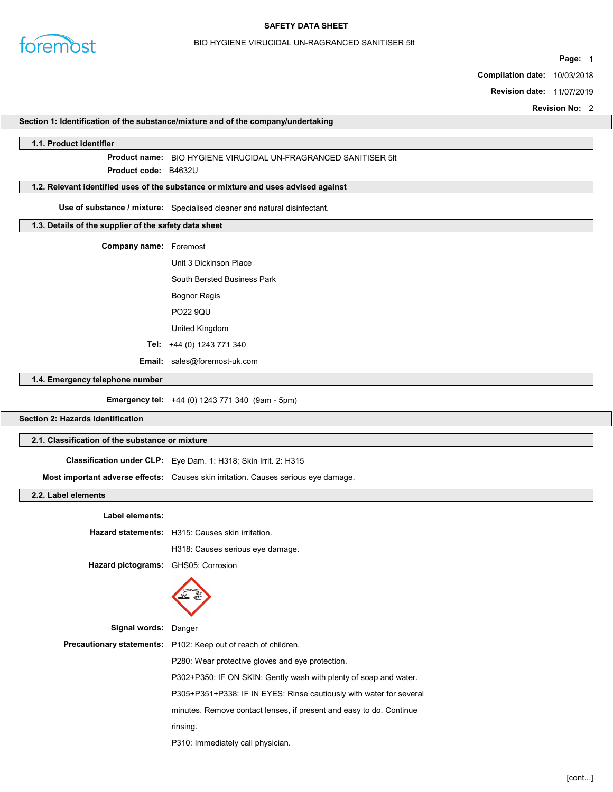

## BIO HYGIENE VIRUCIDAL UN-RAGRANCED SANITISER 5lt

Page: 1

Compilation date: 10/03/2018

Revision date: 11/07/2019

Revision No: 2

## Section 1: Identification of the substance/mixture and of the company/undertaking

## 1.1. Product identifier

# Product name: BIO HYGIENE VIRUCIDAL UN-FRAGRANCED SANITISER 5lt

Product **code**: B4632U

## 1.2. Relevant identified uses of the substance or mixture and uses advised against

Use of substance / mixture: Specialised cleaner and natural disinfectant.

## 1.3. Details of the supplier of the safety data sheet

Company name: Foremost

- Unit 3 Dickinson Place
	- South Bersted Business Park Bognor Regis
	- PO22 9QU

United Kingdom

- 
- Tel: +44 (0) 1243 771 340

Email: sales@foremost-uk.com

## 1.4. Emergency telephone number

Emergency tel: +44 (0) 1243 771 340 (9am - 5pm)

# Section 2: Hazards identification

## 2.1. Classification of the substance or mixture

| <b>Classification under CLP:</b> Eye Dam. 1: H318; Skin Irrit. 2: H315             |
|------------------------------------------------------------------------------------|
| Most important adverse effects: Causes skin irritation. Causes serious eye damage. |

## 2.2. Label elements

| <b>Label elements:</b> |                                                                       |  |
|------------------------|-----------------------------------------------------------------------|--|
|                        | Hazard statements: H315: Causes skin irritation.                      |  |
|                        | H318: Causes serious eye damage.                                      |  |
| Hazard pictograms:     | GHS05: Corrosion                                                      |  |
|                        |                                                                       |  |
| Signal words: Danger   |                                                                       |  |
|                        | <b>Precautionary statements:</b> P102: Keep out of reach of children. |  |
|                        | P280: Wear protective gloves and eye protection.                      |  |
|                        | P302+P350: IF ON SKIN: Gently wash with plenty of soap and water.     |  |
|                        | P305+P351+P338: IF IN EYES: Rinse cautiously with water for several   |  |
|                        | minutes. Remove contact lenses, if present and easy to do. Continue   |  |
|                        | rinsing.                                                              |  |
|                        | P310: Immediately call physician.                                     |  |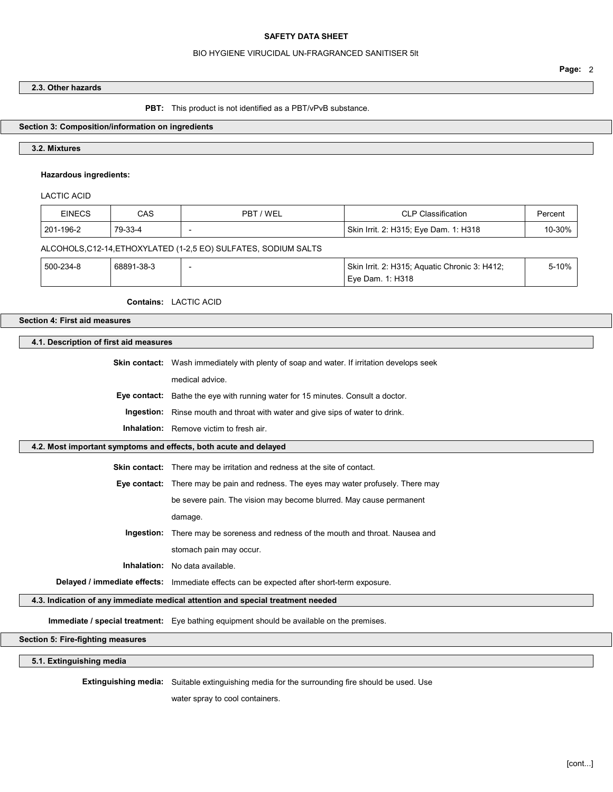## BIO HYGIENE VIRUCIDAL UN-FRAGRANCED SANITISER 5lt

2.3. Other hazards

PBT: This product is not identified as a PBT/vPvB substance.

## Section 3: Composition/information on ingredients

## 3.2. Mixtures

## Hazardous ingredients:

LACTIC ACID

| <b>EINECS</b> | CAS        | PBT / WEL                                                       | <b>CLP Classification</b>                     | Percent |
|---------------|------------|-----------------------------------------------------------------|-----------------------------------------------|---------|
| 201-196-2     | 79-33-4    |                                                                 | Skin Irrit. 2: H315; Eye Dam. 1: H318         | 10-30%  |
|               |            | ALCOHOLS, C12-14, ETHOXYLATED (1-2,5 EO) SULFATES, SODIUM SALTS |                                               |         |
| 500-234-8     | 68891-38-3 |                                                                 | Skin Irrit. 2: H315; Aquatic Chronic 3: H412; | 5-10%   |
|               |            |                                                                 | Eye Dam. 1: H318                              |         |

## Contains: LACTIC ACID

## Section 4: First aid measures

#### 4.1. Description of first aid measures

Skin contact: Wash immediately with plenty of soap and water. If irritation develops seek

medical advice.

Eye contact: Bathe the eye with running water for 15 minutes. Consult a doctor.

Ingestion: Rinse mouth and throat with water and give sips of water to drink.

Inhalation: Remove victim to fresh air.

## 4.2. Most important symptoms and effects, both acute and delayed

Skin contact: There may be irritation and redness at the site of contact.

Eye contact: There may be pain and redness. The eyes may water profusely. There may

be severe pain. The vision may become blurred. May cause permanent

damage.

Ingestion: There may be soreness and redness of the mouth and throat. Nausea and stomach pain may occur.

Inhalation: No data available.

Delayed / immediate effects: Immediate effects can be expected after short-term exposure.

## 4.3. Indication of any immediate medical attention and special treatment needed

Immediate / special treatment: Eye bathing equipment should be available on the premises.

Section 5: Fire-fighting measures

5.1. Extinguishing media

Extinguishing media: Suitable extinguishing media for the surrounding fire should be used. Use

water spray to cool containers.

Page: 2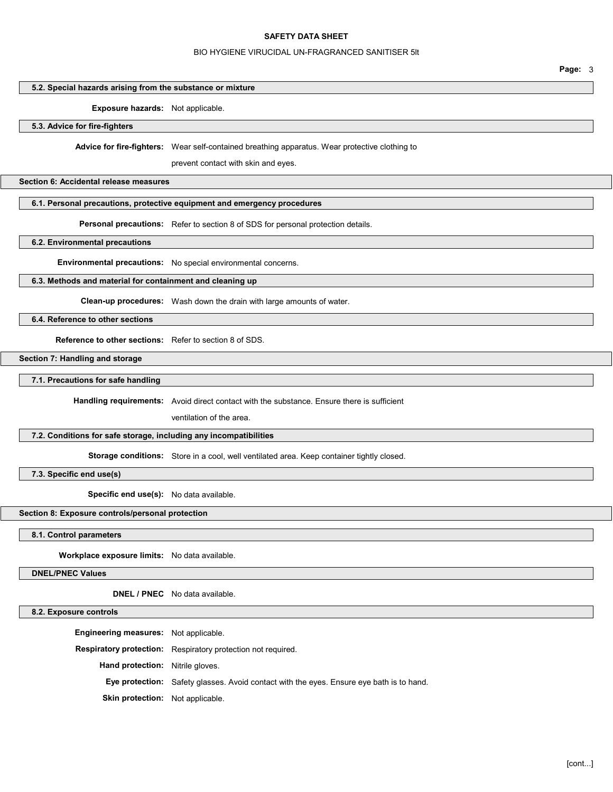#### BIO HYGIENE VIRUCIDAL UN-FRAGRANCED SANITISER 5lt

Page: 3

## 5.2. Special hazards arising from the substance or mixture

#### Exposure hazards: Not applicable.

5.3. Advice for fire-fighters

Advice for fire-fighters: Wear self-contained breathing apparatus. Wear protective clothing to

prevent contact with skin and eyes.

#### Section 6: Accidental release measures

## 6.1. Personal precautions, protective equipment and emergency procedures

Personal precautions: Refer to section 8 of SDS for personal protection details.

6.2. Environmental precautions

Environmental precautions: No special environmental concerns.

## 6.3. Methods and material for containment and cleaning up

Clean-up procedures: Wash down the drain with large amounts of water.

6.4. Reference to other sections

Reference to other sections: Refer to section 8 of SDS.

Section 7: Handling and storage

7.1. Precautions for safe handling

Handling requirements: Avoid direct contact with the substance. Ensure there is sufficient

ventilation of the area.

#### 7.2. Conditions for safe storage, including any incompatibilities

Storage conditions: Store in a cool, well ventilated area. Keep container tightly closed.

7.3. Specific end use(s)

Specific end use(s): No data available.

## Section 8: Exposure controls/personal protection

#### 8.1. Control parameters

Workplace exposure limits: No data available.

DNEL/PNEC Values

DNEL / PNEC No data available.

## 8.2. Exposure controls

Engineering measures: Not applicable. Respiratory protection: Respiratory protection not required. Hand protection: Nitrile gloves. Eye protection: Safety glasses. Avoid contact with the eyes. Ensure eye bath is to hand. Skin protection: Not applicable.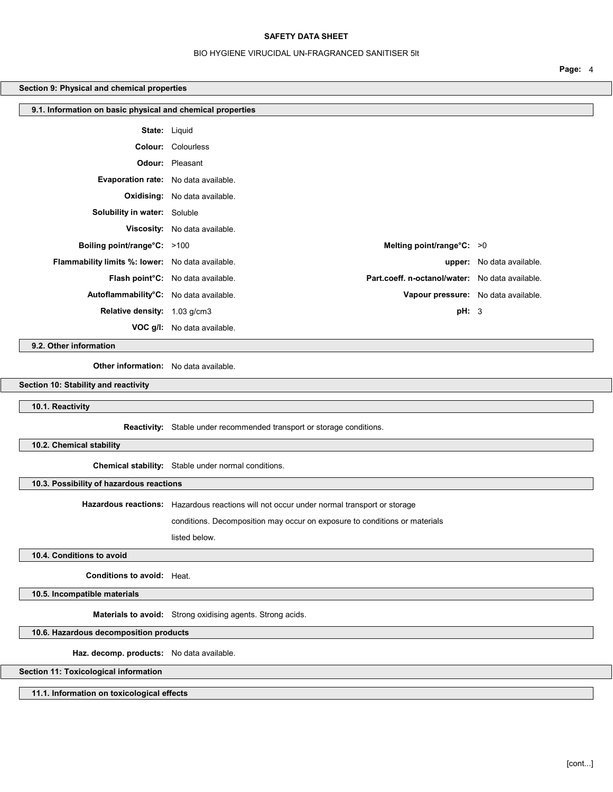## BIO HYGIENE VIRUCIDAL UN-FRAGRANCED SANITISER 5lt

Page: 4

## Section 9: Physical and chemical properties

| 9.1. Information on basic physical and chemical properties |                                                                                      |                                     |
|------------------------------------------------------------|--------------------------------------------------------------------------------------|-------------------------------------|
|                                                            | <b>State:</b> Liquid                                                                 |                                     |
|                                                            | <b>Colour: Colourless</b>                                                            |                                     |
|                                                            | <b>Odour:</b> Pleasant                                                               |                                     |
| Evaporation rate: No data available.                       |                                                                                      |                                     |
|                                                            | <b>Oxidising:</b> No data available.                                                 |                                     |
| <b>Solubility in water:</b> Soluble                        |                                                                                      |                                     |
|                                                            | Viscosity: No data available.                                                        |                                     |
| Boiling point/range°C: >100                                | Melting point/range $°C: >0$                                                         |                                     |
| <b>Flammability limits %: lower:</b> No data available.    |                                                                                      | <b>upper:</b> No data available.    |
|                                                            | Part.coeff. n-octanol/water: No data available.<br>Flash point°C: No data available. |                                     |
| Autoflammability°C: No data available.                     |                                                                                      | Vapour pressure: No data available. |
| Relative density: 1.03 g/cm3                               |                                                                                      | pH: 3                               |
|                                                            | <b>VOC g/l:</b> No data available.                                                   |                                     |

9.2. Other information

Other information: No data available.

Section 10: Stability and reactivity

10.1. Reactivity

Reactivity: Stable under recommended transport or storage conditions.

10.2. Chemical stability

Chemical stability: Stable under normal conditions.

10.3. Possibility of hazardous reactions

Hazardous reactions: Hazardous reactions will not occur under normal transport or storage

conditions. Decomposition may occur on exposure to conditions or materials

listed below.

10.4. Conditions to avoid

Conditions to avoid: Heat.

10.5. Incompatible materials

Materials to avoid: Strong oxidising agents. Strong acids.

10.6. Hazardous decomposition products

Haz. decomp. products: No data available.

Section 11: Toxicological information

11.1. Information on toxicological effects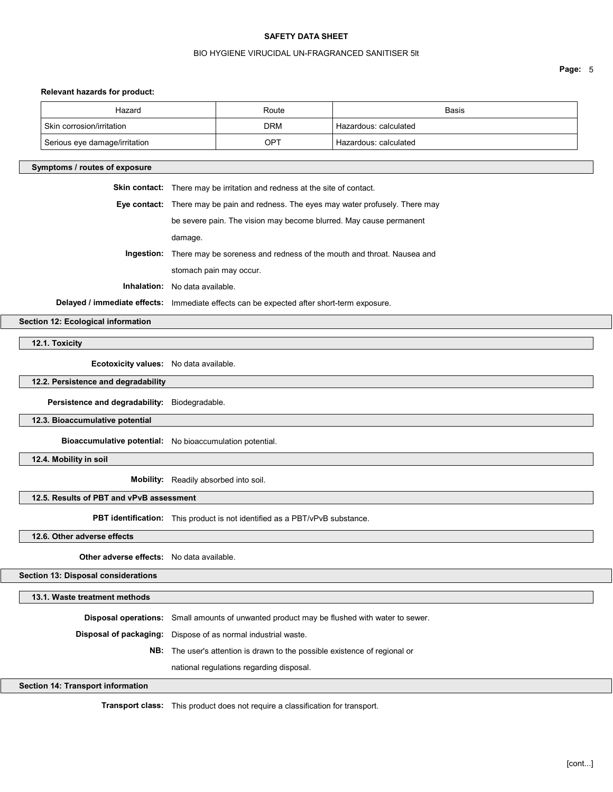## BIO HYGIENE VIRUCIDAL UN-FRAGRANCED SANITISER 5lt

Page: 5

# Relevant hazards for product:

|                                    | Relevant nazards for product:                    |                                                                                            |            |                       |
|------------------------------------|--------------------------------------------------|--------------------------------------------------------------------------------------------|------------|-----------------------|
|                                    | Hazard                                           |                                                                                            | Route      | Basis                 |
|                                    | Skin corrosion/irritation                        |                                                                                            | <b>DRM</b> | Hazardous: calculated |
|                                    | Serious eye damage/irritation                    |                                                                                            | OPT        | Hazardous: calculated |
|                                    | Symptoms / routes of exposure                    |                                                                                            |            |                       |
|                                    |                                                  | Skin contact: There may be irritation and redness at the site of contact.                  |            |                       |
|                                    |                                                  | Eye contact: There may be pain and redness. The eyes may water profusely. There may        |            |                       |
|                                    |                                                  | be severe pain. The vision may become blurred. May cause permanent                         |            |                       |
|                                    |                                                  | damage.                                                                                    |            |                       |
|                                    |                                                  | Ingestion: There may be soreness and redness of the mouth and throat. Nausea and           |            |                       |
|                                    |                                                  | stomach pain may occur.                                                                    |            |                       |
|                                    |                                                  | Inhalation: No data available.                                                             |            |                       |
|                                    |                                                  | Delayed / immediate effects: Immediate effects can be expected after short-term exposure.  |            |                       |
| Section 12: Ecological information |                                                  |                                                                                            |            |                       |
|                                    | 12.1. Toxicity                                   |                                                                                            |            |                       |
|                                    | Ecotoxicity values: No data available.           |                                                                                            |            |                       |
|                                    | 12.2. Persistence and degradability              |                                                                                            |            |                       |
|                                    |                                                  |                                                                                            |            |                       |
|                                    | Persistence and degradability: Biodegradable.    |                                                                                            |            |                       |
|                                    | 12.3. Bioaccumulative potential                  |                                                                                            |            |                       |
|                                    |                                                  | Bioaccumulative potential: No bioaccumulation potential.                                   |            |                       |
|                                    | 12.4. Mobility in soil                           |                                                                                            |            |                       |
|                                    |                                                  | Mobility: Readily absorbed into soil.                                                      |            |                       |
|                                    | 12.5. Results of PBT and vPvB assessment         |                                                                                            |            |                       |
|                                    |                                                  | PBT identification: This product is not identified as a PBT/vPvB substance.                |            |                       |
|                                    | 12.6. Other adverse effects                      |                                                                                            |            |                       |
|                                    | <b>Other adverse effects:</b> No data available. |                                                                                            |            |                       |
|                                    |                                                  |                                                                                            |            |                       |
|                                    | Section 13: Disposal considerations              |                                                                                            |            |                       |
|                                    | 13.1. Waste treatment methods                    |                                                                                            |            |                       |
|                                    |                                                  | Disposal operations: Small amounts of unwanted product may be flushed with water to sewer. |            |                       |
|                                    |                                                  |                                                                                            |            |                       |

Disposal of packaging: Dispose of as normal industrial waste.

NB: The user's attention is drawn to the possible existence of regional or

national regulations regarding disposal.

# Section 14: Transport information

Transport class: This product does not require a classification for transport.